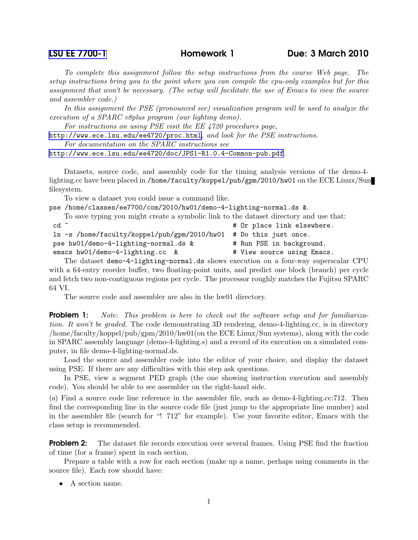## [LSU EE 7700-1](http://www.ece.lsu.edu/gp/) Homework 1 Due: 3 March 2010

To complete this assignment follow the setup instructions from the course Web page. The setup instructions bring you to the point where you can compile the cpu-only examples but for this assignment that won't be necessary. (The setup will facilitate the use of Emacs to view the source and assembler code.)

In this assignment the PSE (pronounced see) visualization program will be used to analyze the execution of a SPARC v8plus program (our lighting demo).

For instructions on using PSE visit the EE 4720 procedures page,

<http://www.ece.lsu.edu/ee4720/proc.html>, and look for the PSE instructions.

For documentation on the SPARC instructions see

<http://www.ece.lsu.edu/ee4720/doc/JPS1-R1.0.4-Common-pub.pdf>.

Datasets, source code, and assembly code for the timing analysis versions of the demo-4 lighting.cc have been placed in /home/faculty/koppel/pub/gpm/2010/hw01 on the ECE Linux/Sun filesystem.

To view a dataset you could issue a command like.

pse /home/classes/ee7700/com/2010/hw01/demo-4-lighting-normal.ds &.

To save typing you might create a symbolic link to the dataset directory and use that:

| $cd$ $\tilde{c}$                                                  | # Or place link elsewhere. |
|-------------------------------------------------------------------|----------------------------|
| ln -s /home/faculty/koppel/pub/gpm/2010/hw01 # Do this just once. |                            |
| pse hw01/demo-4-lighting-normal.ds &                              | # Run PSE in background.   |
| emacs hw01/demo-4-lighting.cc &                                   | # View source using Emacs. |
|                                                                   |                            |

The dataset demo-4-lighting-normal.ds shows execution on a four-way superscalar CPU with a 64-entry reorder buffer, two floating-point units, and predict one block (branch) per cycle and fetch two non-contiguous regions per cycle. The processor roughly matches the Fujitsu SPARC 64 VI.

The source code and assembler are also in the hw01 directory.

**Problem 1:** Note: This problem is here to check out the software setup and for familiarization. It won't be graded. The code demonstrating 3D rendering, demo-4-lighting.cc, is in directory /home/faculty/koppel/pub/gpm/2010/hw01(on the ECE Linux/Sun systems), along with the code in SPARC assembly language (demo-4-lighting.s) and a record of its execution on a simulated computer, in file demo-4-lighting-normal.ds.

Load the source and assembler code into the editor of your choice, and display the dataset using PSE. If there are any difficulties with this step ask questions.

In PSE, view a segment PED graph (the one showing instruction execution and assembly code). You should be able to see assembler on the right-hand side.

(a) Find a source code line reference in the assembler file, such as demo-4-lighting.cc:712. Then find the corresponding line in the source code file (just jump to the appropriate line number) and in the assembler file (search for "! 712" for example). Use your favorite editor, Emacs with the class setup is recommended.

**Problem 2:** The dataset file records execution over several frames. Using PSE find the fraction of time (for a frame) spent in each section.

Prepare a table with a row for each section (make up a name, perhaps using comments in the source file). Each row should have:

• A section name.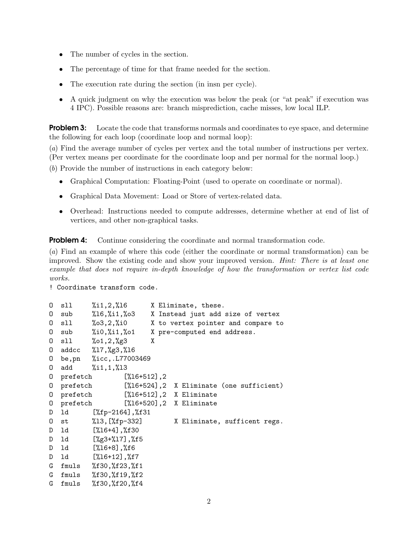- The number of cycles in the section.
- The percentage of time for that frame needed for the section.
- The execution rate during the section (in insn per cycle).
- A quick judgment on why the execution was below the peak (or "at peak" if execution was 4 IPC). Possible reasons are: branch misprediction, cache misses, low local ILP.

**Problem 3:** Locate the code that transforms normals and coordinates to eve space, and determine the following for each loop (coordinate loop and normal loop):

(a) Find the average number of cycles per vertex and the total number of instructions per vertex. (Per vertex means per coordinate for the coordinate loop and per normal for the normal loop.)

(b) Provide the number of instructions in each category below:

- Graphical Computation: Floating-Point (used to operate on coordinate or normal).
- Graphical Data Movement: Load or Store of vertex-related data.
- Overhead: Instructions needed to compute addresses, determine whether at end of list of vertices, and other non-graphical tasks.

**Problem 4:** Continue considering the coordinate and normal transformation code.

(a) Find an example of where this code (either the coordinate or normal transformation) can be improved. Show the existing code and show your improved version. Hint: There is at least one example that does not require in-depth knowledge of how the transformation or vertex list code works.

! Coordinate transform code.

```
O sll %i1,2,%l6 X Eliminate, these.
O sub %l6,%i1,%o3 X Instead just add size of vertex
O sll %o3,2,%i0 X to vertex pointer and compare to
O sub %i0,%i1,%o1 X pre-computed end address.
O sll %o1,2,%g3 X
O addcc %l7,%g3,%l6
O be,pn %icc,.L77003469
O add %i1,1,%l3
O prefetch [%l6+512],2
O prefetch [%l6+524],2 X Eliminate (one sufficient)
O prefetch [%l6+512],2 X Eliminate
O prefetch [%l6+520],2 X Eliminate
D ld [%fp-2164],%f31
O st %l3,[%fp-332] X Eliminate, sufficent regs.
D ld [%l6+4],%f30
D ld [%g3+%l7],%f5
D ld [%l6+8],%f6
D ld [%l6+12],%f7
G fmuls %f30,%f23,%f1
G fmuls %f30,%f19,%f2
G fmuls %f30,%f20,%f4
```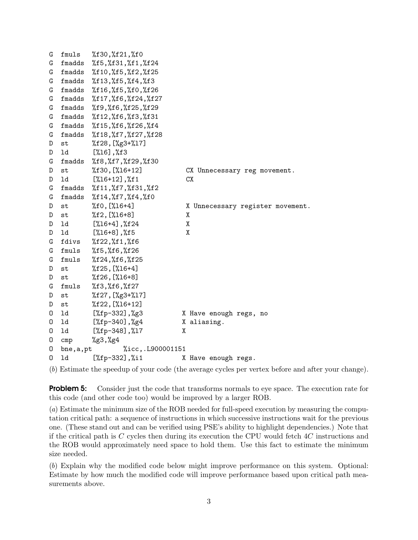```
G fmuls %f30,%f21,%f0
G fmadds %f5,%f31,%f1,%f24
G fmadds %f10,%f5,%f2,%f25
G fmadds %f13,%f5,%f4,%f3
G fmadds %f16,%f5,%f0,%f26
G fmadds %f17,%f6,%f24,%f27
G fmadds %f9,%f6,%f25,%f29
G fmadds %f12,%f6,%f3,%f31
G fmadds %f15,%f6,%f26,%f4
G fmadds %f18,%f7,%f27,%f28
D st %f28,[%g3+%l7]
D ld [%l6],%f3
G fmadds %f8,%f7,%f29,%f30
D st %f30,[%l6+12] CX Unnecessary reg movement.
D ld [%l6+12],%f1 CX
G fmadds %f11,%f7,%f31,%f2
G fmadds %f14,%f7,%f4,%f0
D st %f0, [%16+4] X Unnecessary register movement.
D st %f2,[%l6+8] X
D ld [%l6+4],%f24 X
D ld [%l6+8],%f5 X
G fdivs %f22,%f1,%f6
G fmuls %f5,%f6,%f26
G fmuls %f24,%f6,%f25
D st %f25,[%l6+4]
D st %f26,[%l6+8]
G fmuls %f3,%f6,%f27
D st %f27,[%g3+%l7]
D st %f22,[%l6+12]
O ld [%fp-332],%g3 X Have enough regs, no
O ld [%fp-340],%g4 X aliasing.
O ld [%fp-348],%l7 X
0 cmp \frac{\cancel{0}}{\cancel{0}} \frac{\cancel{0}}{\cancel{0}} \frac{\cancel{0}}{\cancel{0}}O bne,a,pt %icc,.L900001151
O ld [%fp-332],%i1 X Have enough regs.
```
(b) Estimate the speedup of your code (the average cycles per vertex before and after your change).

**Problem 5:** Consider just the code that transforms normals to eye space. The execution rate for this code (and other code too) would be improved by a larger ROB.

(a) Estimate the minimum size of the ROB needed for full-speed execution by measuring the computation critical path: a sequence of instructions in which successive instructions wait for the previous one. (These stand out and can be verified using PSE's ability to highlight dependencies.) Note that if the critical path is C cycles then during its execution the CPU would fetch 4C instructions and the ROB would approximately need space to hold them. Use this fact to estimate the minimum size needed.

(b) Explain why the modified code below might improve performance on this system. Optional: Estimate by how much the modified code will improve performance based upon critical path measurements above.